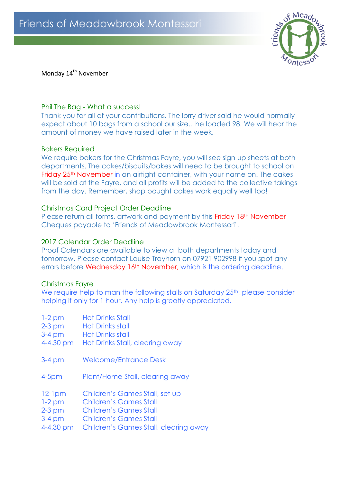

Monday 14<sup>th</sup> November

## Phil The Bag - What a success!

Thank you for all of your contributions. The lorry driver said he would normally expect about 10 bags from a school our size…he loaded 98. We will hear the amount of money we have raised later in the week.

#### Bakers Required

We require bakers for the Christmas Fayre, you will see sign up sheets at both departments. The cakes/biscuits/bakes will need to be brought to school on Friday 25<sup>th</sup> November in an airtight container, with your name on. The cakes will be sold at the Fayre, and all profits will be added to the collective takings from the day. Remember, shop bought cakes work equally well too!

# Christmas Card Project Order Deadline

Please return all forms, artwork and payment by this Friday 18<sup>th</sup> November Cheques payable to 'Friends of Meadowbrook Montessori'.

## 2017 Calendar Order Deadline

Proof Calendars are available to view at both departments today and tomorrow. Please contact Louise Trayhorn on 07921 902998 if you spot any errors before Wednesday 16<sup>th</sup> November, which is the ordering deadline.

#### Christmas Fayre

We require help to man the following stalls on Saturday 25<sup>th</sup>, please consider helping if only for 1 hour. Any help is greatly appreciated.

1-2 pm Hot Drinks Stall 2-3 pm Hot Drinks stall 3-4 pm Hot Drinks stall 4-4.30 pm Hot Drinks Stall, clearing away 3-4 pm Welcome/Entrance Desk 4-5pm Plant/Home Stall, clearing away 12-1pm Children's Games Stall, set up 1-2 pm Children's Games Stall 2-3 pm Children's Games Stall 3-4 pm Children's Games Stall 4-4.30 pm Children's Games Stall, clearing away